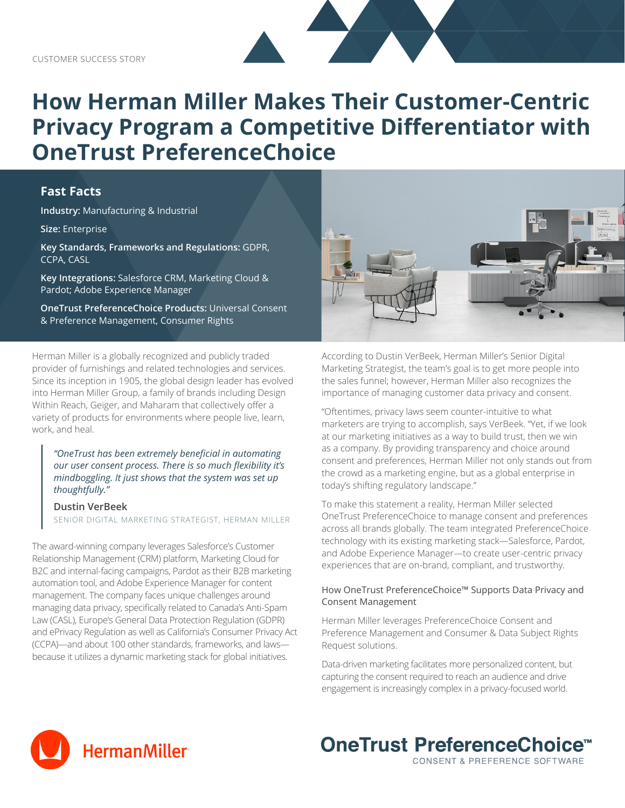# **How Herman Miller Makes Their Customer-Centric Privacy Program a Competitive Differentiator with OneTrust PreferenceChoice**

## **Fast Facts**

**Industry:** Manufacturing & Industrial

**Size:** Enterprise

**Key Standards, Frameworks and Regulations:** GDPR, CCPA, CASL

**Key Integrations:** Salesforce CRM, Marketing Cloud & Pardot; Adobe Experience Manager

**OneTrust PreferenceChoice Products:** Universal Consent & Preference Management, Consumer Rights

Herman Miller is a globally recognized and publicly traded provider of furnishings and related technologies and services. Since its inception in 1905, the global design leader has evolved into Herman Miller Group, a family of brands including Design Within Reach, Geiger, and Maharam that collectively offer a variety of products for environments where people live, learn, work, and heal.

*"OneTrust has been extremely beneficial in automating our user consent process. There is so much flexibility it's mindboggling. It just shows that the system was set up thoughtfully."*

**Dustin VerBeek** SENIOR DIGITAL MARKETING STRATEGIST, HERMAN MILLER

The award-winning company leverages Salesforce's Customer Relationship Management (CRM) platform, Marketing Cloud for B2C and internal-facing campaigns, Pardot as their B2B marketing automation tool, and Adobe Experience Manager for content management. The company faces unique challenges around managing data privacy, specifically related to Canada's Anti-Spam Law (CASL), Europe's General Data Protection Regulation (GDPR) and ePrivacy Regulation as well as California's Consumer Privacy Act (CCPA)—and about 100 other standards, frameworks, and laws because it utilizes a dynamic marketing stack for global initiatives.



According to Dustin VerBeek, Herman Miller's Senior Digital Marketing Strategist, the team's goal is to get more people into the sales funnel; however, Herman Miller also recognizes the importance of managing customer data privacy and consent.

"Oftentimes, privacy laws seem counter-intuitive to what marketers are trying to accomplish, says VerBeek. "Yet, if we look at our marketing initiatives as a way to build trust, then we win as a company. By providing transparency and choice around consent and preferences, Herman Miller not only stands out from the crowd as a marketing engine, but as a global enterprise in today's shifting regulatory landscape."

To make this statement a reality, Herman Miller selected OneTrust PreferenceChoice to manage consent and preferences across all brands globally. The team integrated PreferenceChoice technology with its existing marketing stack—Salesforce, Pardot, and Adobe Experience Manager—to create user-centric privacy experiences that are on-brand, compliant, and trustworthy.

### How OneTrust PreferenceChoice™ Supports Data Privacy and Consent Management

Herman Miller leverages PreferenceChoice Consent and Preference Management and Consumer & Data Subject Rights Request solutions.

Data-driven marketing facilitates more personalized content, but capturing the consent required to reach an audience and drive engagement is increasingly complex in a privacy-focused world.

**OneTrust PreferenceChoice™** 

CONSENT & PREFERENCE SOFTWARE